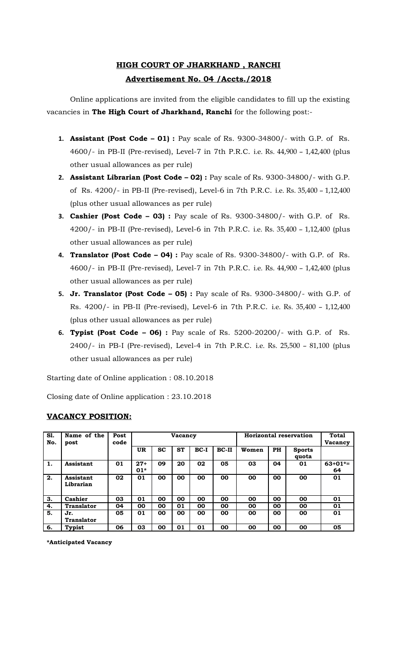# **HIGH COURT OF JHARKHAND , RANCHI Advertisement No. 04 /Accts./2018**

Online applications are invited from the eligible candidates to fill up the existing vacancies in **The High Court of Jharkhand, Ranchi** for the following post:-

- **1. Assistant (Post Code 01) :** Pay scale of Rs. 9300-34800/- with G.P. of Rs. 4600/- in PB-II (Pre-revised), Level-7 in 7th P.R.C. i.e. Rs. 44,900 – 1,42,400 (plus other usual allowances as per rule)
- **2. Assistant Librarian (Post Code 02) :** Pay scale of Rs. 9300-34800/- with G.P. of Rs. 4200/- in PB-II (Pre-revised), Level-6 in 7th P.R.C. i.e. Rs. 35,400 – 1,12,400 (plus other usual allowances as per rule)
- **3. Cashier (Post Code 03) :** Pay scale of Rs. 9300-34800/- with G.P. of Rs. 4200/- in PB-II (Pre-revised), Level-6 in 7th P.R.C. i.e. Rs. 35,400 – 1,12,400 (plus other usual allowances as per rule)
- **4. Translator (Post Code 04) :** Pay scale of Rs. 9300-34800/- with G.P. of Rs. 4600/- in PB-II (Pre-revised), Level-7 in 7th P.R.C. i.e. Rs. 44,900 – 1,42,400 (plus other usual allowances as per rule)
- **5. Jr. Translator (Post Code 05) :** Pay scale of Rs. 9300-34800/- with G.P. of Rs. 4200/- in PB-II (Pre-revised), Level-6 in 7th P.R.C. i.e. Rs. 35,400 – 1,12,400 (plus other usual allowances as per rule)
- **6. Typist (Post Code 06) :** Pay scale of Rs. 5200-20200/- with G.P. of Rs. 2400/- in PB-I (Pre-revised), Level-4 in 7th P.R.C. i.e. Rs. 25,500 – 81,100 (plus other usual allowances as per rule)

Starting date of Online application : 08.10.2018

Closing date of Online application : 23.10.2018

#### **Sl. Name of the Post**

**VACANCY POSITION:**

| S1.              | Name of the              | Post | Horizontal reservation<br><b>Vacancy</b> |           |           |        | Total   |           |           |                        |                  |
|------------------|--------------------------|------|------------------------------------------|-----------|-----------|--------|---------|-----------|-----------|------------------------|------------------|
| No.              | post                     | code |                                          |           |           |        |         |           |           |                        | <b>Vacancy</b>   |
|                  |                          |      | <b>UR</b>                                | <b>SC</b> | <b>ST</b> | $BC-I$ | $BC-II$ | Women     | <b>PH</b> | <b>Sports</b><br>quota |                  |
| 1.               | Assistant                | 01   | $27+$<br>$01*$                           | 09        | 20        | 02     | 05      | 03        | 04        | 01                     | $63+01* =$<br>64 |
| 2.               | Assistant<br>Librarian   | 02   | 01                                       | 00        | 00        | 00     | 00      | 00        | 00        | 00                     | 01               |
| $\overline{3}$ . | Cashier                  | 03   | 01                                       | 00        | 00        | 00     | 00      | <b>OO</b> | 00        | 00                     | 01               |
| 4.               | <b>Translator</b>        | 04   | 00                                       | 00        | 01        | 00     | 00      | 00        | 00        | 00                     | 01               |
| 5.               | Jr.<br><b>Translator</b> | 05   | 01                                       | 00        | 00        | 00     | 00      | <b>OO</b> | 00        | 00                     | 01               |
| 6.               | Typist                   | 06   | 03                                       | 00        | 01        | 01     | 00      | 00        | 00        | 00                     | 05               |

**\*Anticipated Vacancy**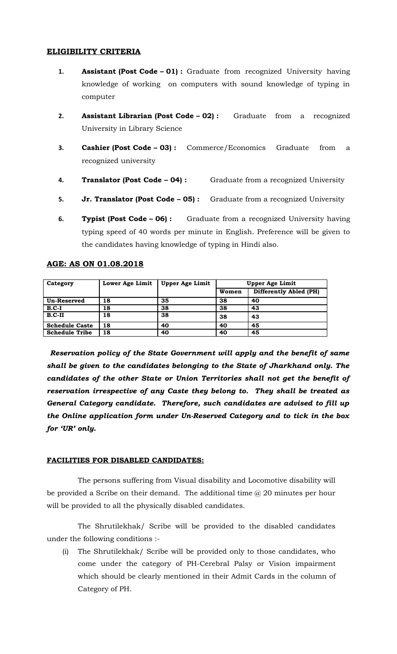### **ELIGIBILITY CRITERIA**

- **1. Assistant (Post Code 01) :** Graduate from recognized University having knowledge of working on computers with sound knowledge of typing in computer
- **2. Assistant Librarian (Post Code 02) :** Graduate from a recognized University in Library Science
- **3. Cashier (Post Code 03) :** Commerce/Economics Graduate from a recognized university
- **4. Translator (Post Code 04) :** Graduate from a recognized University
- **5. Jr. Translator (Post Code 05) :** Graduate from a recognized University
- **6. Typist (Post Code 06) :** Graduate from a recognized University having typing speed of 40 words per minute in English. Preference will be given to the candidates having knowledge of typing in Hindi also.

| Category              | Lower Age Limit | <b>Upper Age Limit</b> | <b>Upper Age Limit</b> |                        |
|-----------------------|-----------------|------------------------|------------------------|------------------------|
|                       |                 |                        | Women                  | Differently Abled (PH) |
| Un-Reserved           | 18              | 35                     | 38                     | 40                     |
| $B.C-I$               | 18              | 38                     | 38                     | 43                     |
| $B.C-II$              | 18              | 38                     | 38                     | 43                     |
| <b>Schedule Caste</b> | 18              | 40                     | 40                     | 45                     |
| <b>Schedule Tribe</b> | 18              | 40                     | 40                     | 45                     |

#### **AGE: AS ON 01.08.2018**

 *Reservation policy of the State Government will apply and the benefit of same shall be given to the candidates belonging to the State of Jharkhand only. The candidates of the other State or Union Territories shall not get the benefit of reservation irrespective of any Caste they belong to. They shall be treated as General Category candidate. Therefore, such candidates are advised to fill up the Online application form under Un-Reserved Category and to tick in the box for 'UR' only.*

#### **FACILITIES FOR DISABLED CANDIDATES:**

The persons suffering from Visual disability and Locomotive disability will be provided a Scribe on their demand. The additional time @ 20 minutes per hour will be provided to all the physically disabled candidates.

The Shrutilekhak/ Scribe will be provided to the disabled candidates under the following conditions :-

(i) The Shrutilekhak/ Scribe will be provided only to those candidates, who come under the category of PH-Cerebral Palsy or Vision impairment which should be clearly mentioned in their Admit Cards in the column of Category of PH.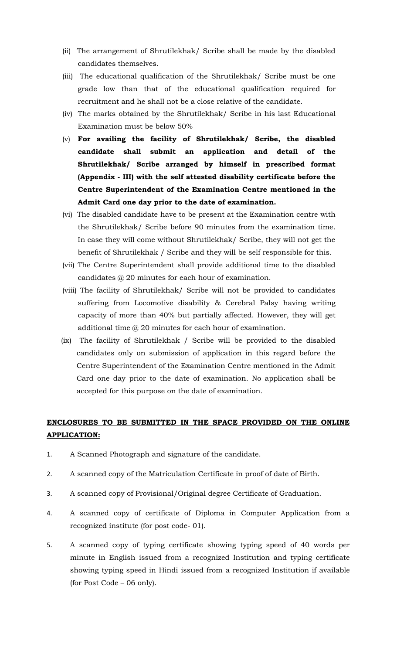- (ii) The arrangement of Shrutilekhak/ Scribe shall be made by the disabled candidates themselves.
- (iii) The educational qualification of the Shrutilekhak/ Scribe must be one grade low than that of the educational qualification required for recruitment and he shall not be a close relative of the candidate.
- (iv) The marks obtained by the Shrutilekhak/ Scribe in his last Educational Examination must be below 50%
- (v) **For availing the facility of Shrutilekhak/ Scribe, the disabled candidate shall submit an application and detail of the Shrutilekhak/ Scribe arranged by himself in prescribed format (Appendix - III) with the self attested disability certificate before the Centre Superintendent of the Examination Centre mentioned in the Admit Card one day prior to the date of examination.**
- (vi) The disabled candidate have to be present at the Examination centre with the Shrutilekhak/ Scribe before 90 minutes from the examination time. In case they will come without Shrutilekhak/ Scribe, they will not get the benefit of Shrutilekhak / Scribe and they will be self responsible for this.
- (vii) The Centre Superintendent shall provide additional time to the disabled candidates @ 20 minutes for each hour of examination.
- (viii) The facility of Shrutilekhak/ Scribe will not be provided to candidates suffering from Locomotive disability & Cerebral Palsy having writing capacity of more than 40% but partially affected. However, they will get additional time @ 20 minutes for each hour of examination.
- (ix) The facility of Shrutilekhak / Scribe will be provided to the disabled candidates only on submission of application in this regard before the Centre Superintendent of the Examination Centre mentioned in the Admit Card one day prior to the date of examination. No application shall be accepted for this purpose on the date of examination.

## **ENCLOSURES TO BE SUBMITTED IN THE SPACE PROVIDED ON THE ONLINE APPLICATION:**

- 1. A Scanned Photograph and signature of the candidate.
- 2. A scanned copy of the Matriculation Certificate in proof of date of Birth.
- 3. A scanned copy of Provisional/Original degree Certificate of Graduation.
- 4. A scanned copy of certificate of Diploma in Computer Application from a recognized institute (for post code- 01).
- 5. A scanned copy of typing certificate showing typing speed of 40 words per minute in English issued from a recognized Institution and typing certificate showing typing speed in Hindi issued from a recognized Institution if available (for Post Code – 06 only).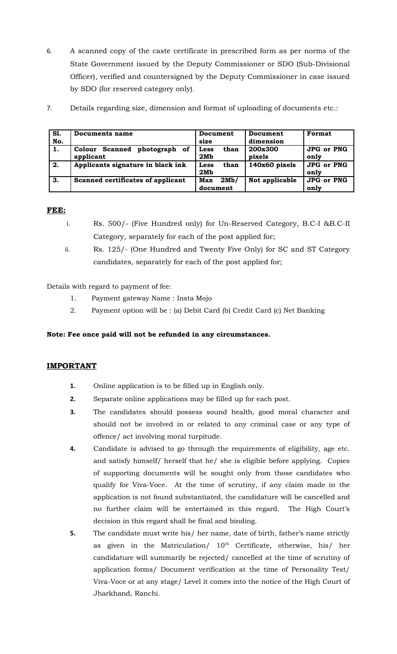- 6. A scanned copy of the caste certificate in prescribed form as per norms of the State Government issued by the Deputy Commissioner or SDO (Sub-Divisional Officer), verified and countersigned by the Deputy Commissioner in case issued by SDO (for reserved category only).
- 7. Details regarding size, dimension and format of uploading of documents etc.:

| S1. | Documents name                                  | Document                | Document          | Format                    |
|-----|-------------------------------------------------|-------------------------|-------------------|---------------------------|
| No. |                                                 | size                    | dimension         |                           |
| 1.  | photograph of<br>Scanned<br>Colour<br>applicant | than<br>Less<br>2Mb     | 200x300<br>pixels | <b>JPG or PNG</b><br>only |
| 2.  | Applicants signature in black ink               | than<br>Less<br>2Mb     | $140x60$ pixels   | <b>JPG or PNG</b><br>only |
| 3.  | Scanned certificates of applicant               | 2Mb/<br>Max<br>document | Not applicable    | <b>JPG or PNG</b><br>only |

## **FEE:**

- i. Rs. 500/- (Five Hundred only) for Un-Reserved Category, B.C-I &B.C-II Category, separately for each of the post applied for;
- ii. Rs. 125/- (One Hundred and Twenty Five Only) for SC and ST Category candidates, separately for each of the post applied for;

Details with regard to payment of fee:

- 1. Payment gateway Name : Insta Mojo
- 2. Payment option will be : (a) Debit Card (b) Credit Card (c) Net Banking

## **Note: Fee once paid will not be refunded in any circumstances.**

## **IMPORTANT**

- **1.** Online application is to be filled up in English only.
- **2.** Separate online applications may be filled up for each post.
- **3.** The candidates should possess sound health, good moral character and should not be involved in or related to any criminal case or any type of offence/ act involving moral turpitude.
- **4.** Candidate is advised to go through the requirements of eligibility, age etc. and satisfy himself/ herself that he/ she is eligible before applying. Copies of supporting documents will be sought only from those candidates who qualify for Viva-Voce. At the time of scrutiny, if any claim made in the application is not found substantiated, the candidature will be cancelled and no further claim will be entertained in this regard. The High Court's decision in this regard shall be final and binding.
- **5.** The candidate must write his/ her name, date of birth, father's name strictly as given in the Matriculation/  $10<sup>th</sup>$  Certificate, otherwise, his/ her candidature will summarily be rejected/ cancelled at the time of scrutiny of application forms/ Document verification at the time of Personality Test/ Viva-Voce or at any stage/ Level it comes into the notice of the High Court of Jharkhand, Ranchi.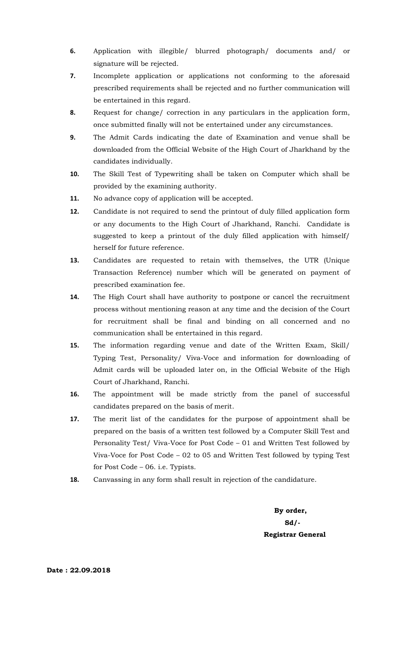- **6.** Application with illegible/ blurred photograph/ documents and/ or signature will be rejected.
- **7.** Incomplete application or applications not conforming to the aforesaid prescribed requirements shall be rejected and no further communication will be entertained in this regard.
- **8.** Request for change/ correction in any particulars in the application form, once submitted finally will not be entertained under any circumstances.
- **9.** The Admit Cards indicating the date of Examination and venue shall be downloaded from the Official Website of the High Court of Jharkhand by the candidates individually.
- **10.** The Skill Test of Typewriting shall be taken on Computer which shall be provided by the examining authority.
- **11.** No advance copy of application will be accepted.
- **12.** Candidate is not required to send the printout of duly filled application form or any documents to the High Court of Jharkhand, Ranchi. Candidate is suggested to keep a printout of the duly filled application with himself/ herself for future reference.
- **13.** Candidates are requested to retain with themselves, the UTR (Unique Transaction Reference) number which will be generated on payment of prescribed examination fee.
- **14.** The High Court shall have authority to postpone or cancel the recruitment process without mentioning reason at any time and the decision of the Court for recruitment shall be final and binding on all concerned and no communication shall be entertained in this regard.
- **15.** The information regarding venue and date of the Written Exam, Skill/ Typing Test, Personality/ Viva-Voce and information for downloading of Admit cards will be uploaded later on, in the Official Website of the High Court of Jharkhand, Ranchi.
- **16.** The appointment will be made strictly from the panel of successful candidates prepared on the basis of merit.
- **17.** The merit list of the candidates for the purpose of appointment shall be prepared on the basis of a written test followed by a Computer Skill Test and Personality Test/ Viva-Voce for Post Code – 01 and Written Test followed by Viva-Voce for Post Code – 02 to 05 and Written Test followed by typing Test for Post Code – 06. i.e. Typists.
- **18.** Canvassing in any form shall result in rejection of the candidature.

 **By order, Sd/- Registrar General**

**Date : 22.09.2018**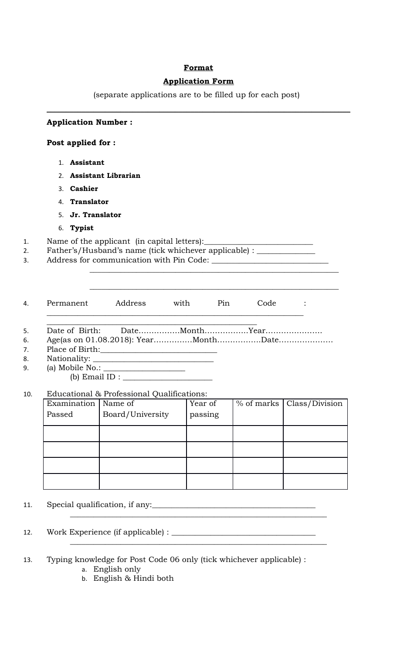## **Format**

## **Application Form**

(separate applications are to be filled up for each post)

| Post applied for :                                   |                                                                                                                                                                                                      |             |            |                |  |  |  |  |  |
|------------------------------------------------------|------------------------------------------------------------------------------------------------------------------------------------------------------------------------------------------------------|-------------|------------|----------------|--|--|--|--|--|
| 1. Assistant                                         |                                                                                                                                                                                                      |             |            |                |  |  |  |  |  |
|                                                      |                                                                                                                                                                                                      |             |            |                |  |  |  |  |  |
| 2. Assistant Librarian<br>3. Cashier                 |                                                                                                                                                                                                      |             |            |                |  |  |  |  |  |
| 4. Translator                                        |                                                                                                                                                                                                      |             |            |                |  |  |  |  |  |
| 5. Jr. Translator                                    |                                                                                                                                                                                                      |             |            |                |  |  |  |  |  |
| 6. Typist                                            |                                                                                                                                                                                                      |             |            |                |  |  |  |  |  |
|                                                      |                                                                                                                                                                                                      |             |            |                |  |  |  |  |  |
|                                                      | Father's/Husband's name (tick whichever applicable) : _______________                                                                                                                                |             |            |                |  |  |  |  |  |
|                                                      |                                                                                                                                                                                                      |             |            |                |  |  |  |  |  |
|                                                      | Address                                                                                                                                                                                              | with<br>Pin | Code       |                |  |  |  |  |  |
|                                                      | $\begin{minipage}{.4\linewidth} Nationality: \begin{tabular}{ c c c } \hline \multicolumn{3}{ c }{\textbf{Nationality:}} \end{tabular} \end{minipage}$<br>Educational & Professional Qualifications: |             |            |                |  |  |  |  |  |
|                                                      | Name of                                                                                                                                                                                              | Year of     | % of marks |                |  |  |  |  |  |
| Permanent<br>Date of Birth:<br>Examination<br>Passed | Board/University                                                                                                                                                                                     | passing     |            | Class/Division |  |  |  |  |  |
|                                                      |                                                                                                                                                                                                      |             |            |                |  |  |  |  |  |
|                                                      |                                                                                                                                                                                                      |             |            |                |  |  |  |  |  |
|                                                      |                                                                                                                                                                                                      |             |            |                |  |  |  |  |  |
|                                                      |                                                                                                                                                                                                      |             |            |                |  |  |  |  |  |
|                                                      |                                                                                                                                                                                                      |             |            |                |  |  |  |  |  |
|                                                      |                                                                                                                                                                                                      |             |            |                |  |  |  |  |  |

- 13. Typing knowledge for Post Code 06 only (tick whichever applicable) : a. English only
	- b. English & Hindi both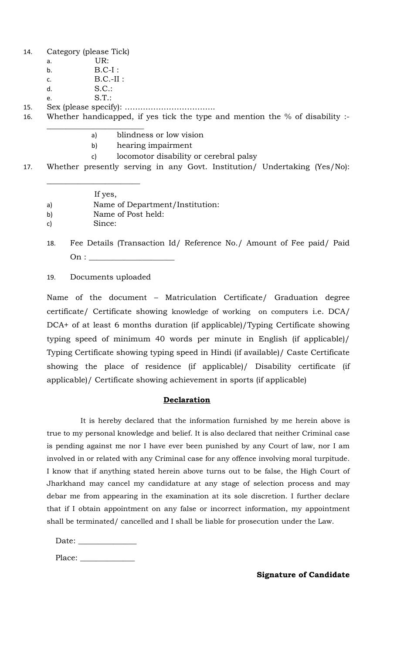14. Category (please Tick)

- a. UR:
- b. B.C-I :
- c. B.C.-II :
- d. S.C.:
- e. S.T.:

15. Sex (please specify): ……………………………..

16. Whether handicapped, if yes tick the type and mention the % of disability :- \_\_\_\_\_\_\_\_\_\_\_\_\_\_\_\_\_\_\_\_\_\_\_\_\_

- a) blindness or low vision
- b) hearing impairment
- c) locomotor disability or cerebral palsy

17. Whether presently serving in any Govt. Institution/ Undertaking (Yes/No):

If yes,

 $\overline{\phantom{a}}$  , where  $\overline{\phantom{a}}$  , where  $\overline{\phantom{a}}$  , where  $\overline{\phantom{a}}$ 

- a) Name of Department/Institution:
- b) Name of Post held:
- c) Since:
- 18. Fee Details (Transaction Id/ Reference No./ Amount of Fee paid/ Paid  $\mathrm{On:}\ \_$
- 19. Documents uploaded

Name of the document – Matriculation Certificate/ Graduation degree certificate/ Certificate showing knowledge of working on computers i.e. DCA/ DCA+ of at least 6 months duration (if applicable)/Typing Certificate showing typing speed of minimum 40 words per minute in English (if applicable)/ Typing Certificate showing typing speed in Hindi (if available)/ Caste Certificate showing the place of residence (if applicable)/ Disability certificate (if applicable)/ Certificate showing achievement in sports (if applicable)

#### **Declaration**

 It is hereby declared that the information furnished by me herein above is true to my personal knowledge and belief. It is also declared that neither Criminal case is pending against me nor I have ever been punished by any Court of law, nor I am involved in or related with any Criminal case for any offence involving moral turpitude. I know that if anything stated herein above turns out to be false, the High Court of Jharkhand may cancel my candidature at any stage of selection process and may debar me from appearing in the examination at its sole discretion. I further declare that if I obtain appointment on any false or incorrect information, my appointment shall be terminated/ cancelled and I shall be liable for prosecution under the Law.

| Date: |  |
|-------|--|
|       |  |

Place: \_\_\_\_\_\_\_\_\_\_\_\_\_\_

**Signature of Candidate**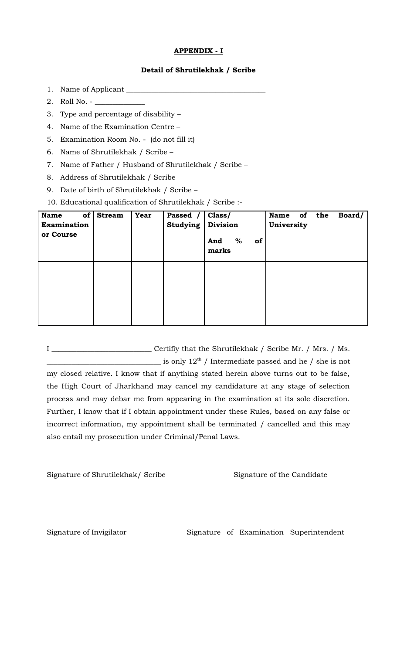#### **APPENDIX - I**

#### **Detail of Shrutilekhak / Scribe**

- 1. Name of Applicant \_\_\_\_\_\_\_\_\_\_\_\_\_\_\_\_\_\_\_\_\_\_\_\_\_\_\_\_\_\_\_\_\_\_\_\_\_\_\_
- 2. Roll No. \_\_\_\_\_\_\_\_\_\_\_\_\_\_
- 3. Type and percentage of disability –
- 4. Name of the Examination Centre –
- 5. Examination Room No. (do not fill it)
- 6. Name of Shrutilekhak / Scribe –
- 7. Name of Father / Husband of Shrutilekhak / Scribe –
- 8. Address of Shrutilekhak / Scribe
- 9. Date of birth of Shrutilekhak / Scribe –
- 10. Educational qualification of Shrutilekhak / Scribe :-

| of<br><b>Name</b><br><b>Examination</b><br>or Course | <b>Stream</b> | <b>Year</b> | Passed /<br><b>Studying</b> | Class/<br>Division<br>%<br>And<br>of<br>marks | Name of the<br>University |  | Board/ |
|------------------------------------------------------|---------------|-------------|-----------------------------|-----------------------------------------------|---------------------------|--|--------|
|                                                      |               |             |                             |                                               |                           |  |        |

I \_\_\_\_\_\_\_\_\_\_\_\_\_\_\_\_\_\_\_\_\_\_\_\_\_\_\_\_ Certifiy that the Shrutilekhak / Scribe Mr. / Mrs. / Ms.  $\frac{1}{\sqrt{1-\frac{1}{n}}}\$  is only  $12^{\text{th}}$  / Intermediate passed and he / she is not my closed relative. I know that if anything stated herein above turns out to be false, the High Court of Jharkhand may cancel my candidature at any stage of selection process and may debar me from appearing in the examination at its sole discretion. Further, I know that if I obtain appointment under these Rules, based on any false or incorrect information, my appointment shall be terminated / cancelled and this may also entail my prosecution under Criminal/Penal Laws.

Signature of Shrutilekhak/ Scribe Signature of the Candidate

Signature of Invigilator Signature of Examination Superintendent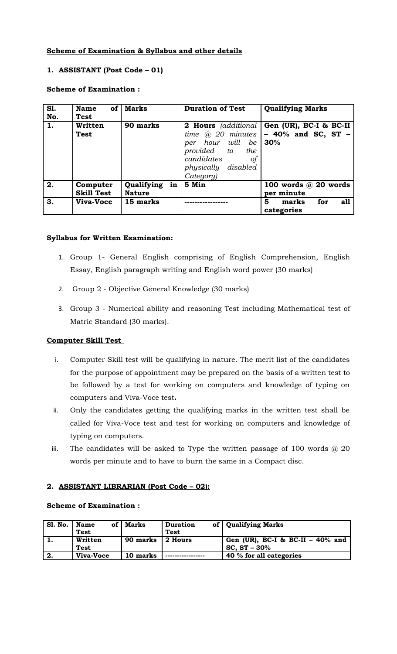## **Scheme of Examination & Syllabus and other details**

## **1. ASSISTANT (Post Code – 01)**

#### **Scheme of Examination :**

| <b>S1.</b><br>No. | <b>of</b><br><b>Name</b><br><b>Test</b> | <b>Marks</b>                   | <b>Duration of Test</b>                                                                                                    | <b>Qualifying Marks</b>                                                       |
|-------------------|-----------------------------------------|--------------------------------|----------------------------------------------------------------------------------------------------------------------------|-------------------------------------------------------------------------------|
| 1.                | Written<br><b>Test</b>                  | 90 marks                       | time $\omega$ 20 minutes<br>per hour will be<br>provided to<br>the<br>candidates<br>οf<br>physically disabled<br>Category) | 2 Hours (additional   Gen (UR), BC-I & BC-II<br>$-40\%$ and SC, ST $-$<br>30% |
| 2.                | Computer<br><b>Skill Test</b>           | Qualifying in<br><b>Nature</b> | 5 Min                                                                                                                      | 100 words $\omega$ 20 words<br>per minute                                     |
| 3.                | Viva-Voce                               | 15 marks                       |                                                                                                                            | 5<br>for<br>marks<br>all<br>categories                                        |

#### **Syllabus for Written Examination:**

- 1. Group 1- General English comprising of English Comprehension, English Essay, English paragraph writing and English word power (30 marks)
- 2. Group 2 Objective General Knowledge (30 marks)
- 3. Group 3 Numerical ability and reasoning Test including Mathematical test of Matric Standard (30 marks).

#### **Computer Skill Test**

- i. Computer Skill test will be qualifying in nature. The merit list of the candidates for the purpose of appointment may be prepared on the basis of a written test to be followed by a test for working on computers and knowledge of typing on computers and Viva-Voce test**.**
- ii. Only the candidates getting the qualifying marks in the written test shall be called for Viva-Voce test and test for working on computers and knowledge of typing on computers.
- iii. The candidates will be asked to Type the written passage of 100 words  $@$  20 words per minute and to have to burn the same in a Compact disc.

#### **2. ASSISTANT LIBRARIAN (Post Code – 02):**

#### **Scheme of Examination :**

| <b>S1. No.</b> | <b>Name</b><br><b>Test</b> | of   Marks | <b>Duration</b><br><b>Test</b> | of   Qualifying Marks                                 |
|----------------|----------------------------|------------|--------------------------------|-------------------------------------------------------|
| 1.             | Written<br><b>Test</b>     | 90 marks   | $\vert$ 2 Hours                | Gen (UR), BC-I & BC-II $-$ 40% and<br>$SC, ST - 30\%$ |
| 2.             | Viva-Voce                  | 10 marks   |                                | 40 % for all categories                               |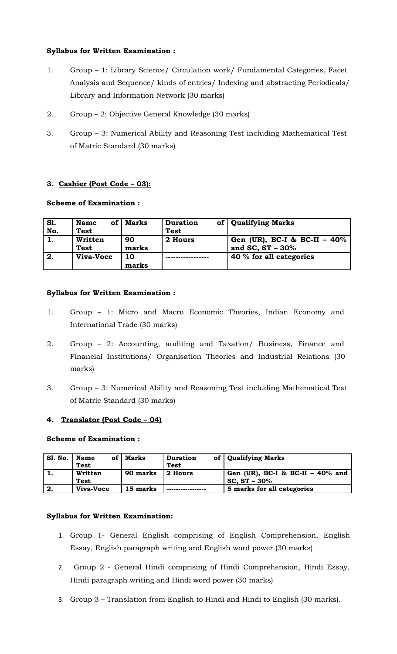### **Syllabus for Written Examination :**

- 1. Group 1: Library Science/ Circulation work/ Fundamental Categories, Facet Analysis and Sequence/ kinds of entries/ Indexing and abstracting Periodicals/ Library and Information Network (30 marks)
- 2. Group 2: Objective General Knowledge (30 marks)
- 3. Group 3: Numerical Ability and Reasoning Test including Mathematical Test of Matric Standard (30 marks)

## **3. Cashier (Post Code – 03):**

## **Scheme of Examination :**

| <b>S1.</b> | <b>Name</b><br><b>of</b> | Marks | <b>Duration</b> | of   Qualifying Marks          |
|------------|--------------------------|-------|-----------------|--------------------------------|
| No.        | <b>Test</b>              |       | <b>Test</b>     |                                |
| 1.         | Written                  | 90    | 2 Hours         | Gen (UR), BC-I & BC-II $-40\%$ |
|            | <b>Test</b>              | marks |                 | and SC, $ST - 30\%$            |
| 2.         | Viva-Voce                | 10    |                 | 40 % for all categories        |
|            |                          | marks |                 |                                |

## **Syllabus for Written Examination :**

- 1. Group 1: Micro and Macro Economic Theories, Indian Economy and International Trade (30 marks)
- 2. Group 2: Accounting, auditing and Taxation/ Business, Finance and Financial Institutions/ Organisation Theories and Industrial Relations (30 marks)
- 3. Group 3: Numerical Ability and Reasoning Test including Mathematical Test of Matric Standard (30 marks)

## **4. Translator (Post Code – 04)**

#### **Scheme of Examination :**

| <b>S1. No.</b> | <b>Name</b><br>оf | Marks    | <b>Duration</b> | of   Qualifying Marks              |
|----------------|-------------------|----------|-----------------|------------------------------------|
|                | <b>Test</b>       |          | <b>Test</b>     |                                    |
|                | Written           | 90 marks | 2 Hours         | Gen (UR), BC-I & BC-II $-40\%$ and |
|                | <b>Test</b>       |          |                 | $SC, ST - 30\%$                    |
| 2.             | Viva-Voce         | 15 marks |                 | 5 marks for all categories         |

#### **Syllabus for Written Examination:**

- 1. Group 1- General English comprising of English Comprehension, English Essay, English paragraph writing and English word power (30 marks)
- 2. Group 2 General Hindi comprising of Hindi Comprehension, Hindi Essay, Hindi paragraph writing and Hindi word power (30 marks)
- 3. Group 3 Translation from English to Hindi and Hindi to English (30 marks).